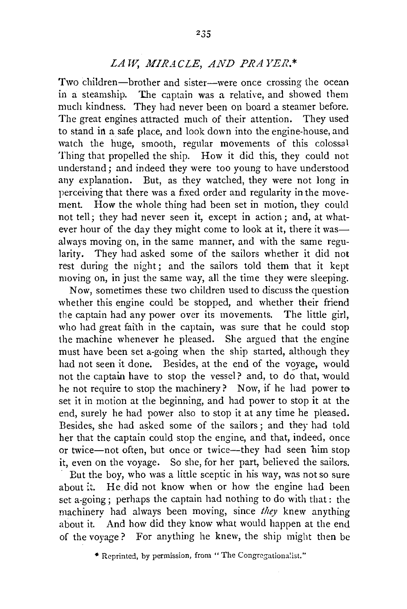## *LAW, MIRACLE, AND PRAYER.\**

Two children—brother and sister—were once crossing the ocean<br>in a steamship. The captain was a relative, and showed them The captain was a relative, and showed them much kindness. They had never been on board a steamer before. The great engines attracted much of their attention. They used to stand in a safe place, and look down into the engine-house, and watch the huge, smooth, regular movements of this colossal Thing that propelled the ship. How it did this, they could not understand; and indeed they were too young to have understood any explanation. But, as they watched, they were not long in perceiving that there was a fixed order and regularity in the movement. How the whole thing had been set in motion, they could not tell; they had never seen it, except in action; and, at whatever hour of the day they might come to look at it, there it wasalways moving on, in the same manner, and with the same regularity. They had asked some of the sailors whether it did not rest during the night; and the sailors told them that it kept moving on, in just the same way, all the time they were sleeping.

Now, sometimes these two children used to discuss the question whether this engine could be stopped, and whether their friend the captain had any power over its movements. The little girl, who had great faith in the captain, was sure that he could stop the machine whenever he pleased. She argued that the engine must have been set a-going when the ship started, although they had not seen it done. Besides, at the end of the voyage, would not the captain have to stop the vessel? and, to do that, would he not require to stop the machinery? Now, if he had power to set it in motion at the beginning, and had power to stop it at the end, surely he had power also to stop it at any time he pleased. Besides, she had asked some of the sailors; and they had told her that the captain could stop the engine, and that, indeed, once or twice-not often, but once or twice--they had seen bim stop it, even on the voyage. So she, for her part, believed the sailors.

But the boy, who was a little sceptic in his way, was not so sure about it. He did not know when or how the engine had been set a-going; perhaps the captain had nothing to do with that : the machinery had always been moving, since *they* knew anything about it. And how did they know what would happen at the end of the voyage? For anything he knew, the ship might then be

<sup>•</sup> **Reprinted, by permission, fron1 " The Congrcgationa;ist."**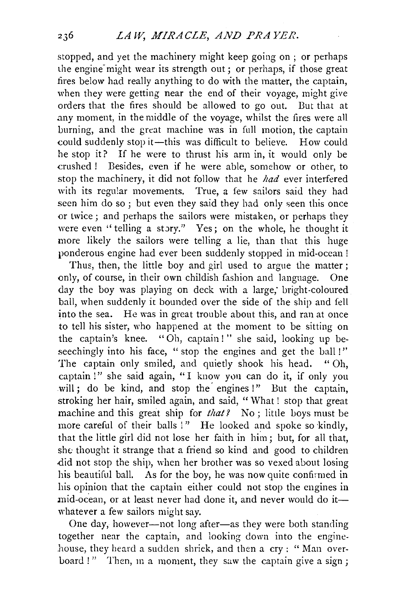stopped, and yet the machinery might keep going on ; or perhaps the engine-might wear its strength out; or perhaps, if those great fires below had really anything to do with the matter, the captain, when they were getting near the end of their voyage, might give orders that the fires should be allowed to go out. But that at .any moment, in the middle of the voyage, whilst the fires were all burning, and the great machine was in full motion, the captain could suddenly stop it-this was difficult to believe. How could he stop it? If he were to thrust his arm in, it would only be crushed ! Besides, even if he were able, somehow or other, to stop the machinery, it did not follow that he *had* ever interfered with its regular movements. True, a few sailors said they had seen him do so ; but even they said they had only seen this once or twice; and perhaps the sailors were mistaken, or perhaps they were even "telling a story." Yes; on the whole, he thought it more likely the sailors were telling a lie, than that this huge ponderous engine had ever been suddenly stopped in mid-ocean !

Thus, then, the little boy and girl used to argue the matter : only, of course, in their own childish fashion and language. One day the boy was playing on deck with a large, bright-coloured ball, when suddenly it bounded over the side of the ship and fell into the sea. He was in great trouble about this, and ran at once to tell his sister, who happened at the moment to be sitting on the captain's knee. " Oh, captain ! " she said, looking up beseechingly into his face, " stop the engines and get the ball!" The captain only smiled, and quietly shook his head. " Oh, captain !" she said again, "I know you can do it, if only you will; do be kind, and stop the engines !" But the captain, stroking her hair, smiled again, and said, "What ! stop that great machine and this great ship for *that?* No; little boys must be more careful of their balls !" He looked and spoke so kindly, that the little girl did not lose her faith in him; but, for all that, she thought it strange that a friend so kind and good to children .did not stop the ship, when her brother was so vexed about losing his beautiful ball. As for the boy, he was now quite confirmed in his opinion that the captain either could not stop the engines in mid-ocean, or at least never had done it, and never would do itwhatever a few sailors might say.

One day, however---not long after--as they were both standing together near the captain, and looking down into the engine· .house, they heard a sudden shriek, and then a cry : " Man overboard !" Then, in a moment, they saw the captain give a sign;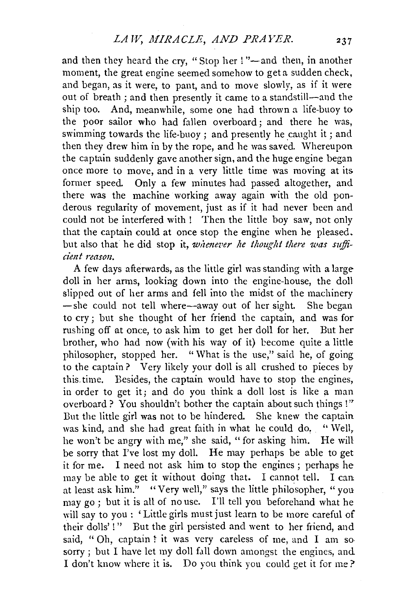and then they heard the cry, "Stop her !"-and then, in another moment, the great engine seemed somehow to get a sudden check, and began, as it were, to pant, and to move slowly, as if it were out of breath ; and then presently it came to a standstill-and the ship too. And, meanwhile, some one had thrown a life-buoy to the poor sailor who had fallen overboard; and there he was, swimming towards the life-buoy : and presently he caught it : and then they drew him in by the rope, and he was saved. Whereupon the captain suddenly gave another sign, and the huge engine began once more to move, and in a very little time was moving at its former speed. Only a few minutes had passed altogether, and there was the machine working away again with the old ponderous regularity of movement, just as if it had never been and could not be interfered with ! Then the little boy saw, not only that the captain could at once stop the engine when he pleased. but also that he did stop it, *whenever he thought there was suffici'ent reason.* 

A few days afterwards, as the little girl was standing with a largedoll in her arms, looking down into the engine-house, the doll slipped out of her arms and fell into the midst of the machinery -she could not tell where-away out of her sight. She began to cry; but she thought of her friend the captain, and was for rushing off at once, to ask him to get her doll for her. But her brother, who had now (with his way of it) become quite a little philosopher, stopped her. " What is the use," said he, of going to the captain? Very likely your doll is all crushed to pieces by this. time. Besides, the captain would have to stop the engines, in order to get it; and do you think a doll lost is like a man overboard ? You shouldn't bother the captain about such things ! " But the little girl was not to be hindered. She knew the captain was kind, and she had great faith in what he could do, "Well, he won't be angry with me," she said, "for asking him. He will be sorry that I've lost my doll. He may perhaps be able to get it for me. I need not ask him to stop the engines ; perhaps he may be able to get it without doing that. I cannot tell. I can at least ask him." "Very well," says the little philosopher, "you may go ; but it is all of no use. I'll tell you beforehand what he will say to you : 'Little girls must just learn to be more careful of their dolls'!" But the girl persisted and went to her friend, and said, "Oh, captain! it was very careless of me, and I am sosorry; but I have let my doll fall down amongst the engines, and I don't know where it is. Do you think you could get it for me?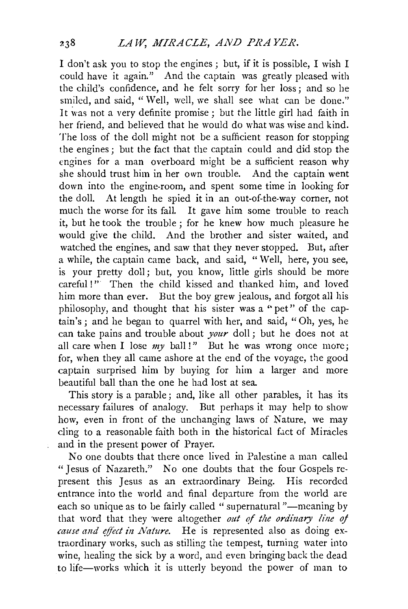I don't ask you to stop the engines; but, if it is possible, I wish I could have it again." And the captain was greatly pleased with the child's confidence, and he felt sorry for her loss; and so he smiled, and said, "Well, well, we shall see what can be done." It was not a very definite promise : but the little girl had faith in her friend, and believed that he would do what was wise and kind. The loss of the doll might not be a sufficient reason for stopping the engines; but the fact that the captain could and did stop the engines for a man overboard might be a sufficient reason why she should trust him in her own trouble. And the captain went down into the engine-room, and spent some time in looking for the doll. At length he spied it in an out-of-the-way corner, not much the worse for its fall. It gave him some trouble to reach it, but he took the trouble ; for he knew how much pleasure he would give the child. And the brother and sister waited, and watched the engines, and saw that they never stopped. But, after a while, the captain came back, and said, "Well, here, you see, is your pretty doll; but, you know, little girls should be more careful !" Then the child kissed and thanked him, and loved him more than ever. But the boy grew jealous, and forgot all his philosophy, and thought that his sister was a ''pet" of the captain's; and he began to quarrel with her, and said; "Oh, yes, he can take pains and trouble about *your* doll; but he does not at all care when I lose  $my$  ball !" But he was wrong once more; for, when they all came ashore at the end of the voyage, the good captain surprised him by buying for him a larger and more beautiful ball than the one he had lost at sea.

This story is a parable; and, like all other parables, it has its necessary failures of analogy. But perhaps it may help to show how, even in front of the unchanging laws of Nature, we may cling to a reasonable faith both in the historical fact of Miracles and in the present power of Prayer.

No one doubts that there once lived in Palestine a man called "Jesus of Nazareth." No one doubts that the four Gospels represent this Jesus as an extraordinary Being. His recorded entrance into the world and final departure from the world are each so unique as to be fairly called "supernatural "---meaning by that word that they were altogether *out qf tlte ordinary line* oj *cause and effect in Nature.* He is represented also as doing extraordinary works, such as stilling the tempest, turning water into wine, healing the sick by a word, and even bringing back the dead to life-works which it is utterly beyond the power of man to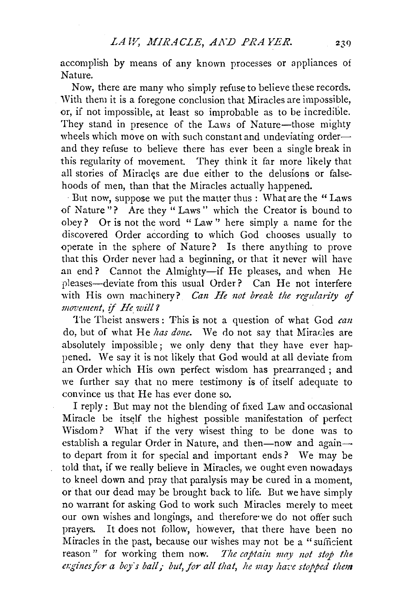accomplish by means of any known processes or appliances of Nature.

Now, there are many who simply refuse to believe these records. With them it is a foregone conclusion that Miracles are impossible. or, if not impossible, at least so improbable as to be incredible. They stand in presence of the Laws of Nature-those mighty wheels which move on with such constant and undeviating orderand they refuse to believe there has ever been a single break in this regularity of movement. They think it far more likely that all stories of Miracles are due either to the delusions or falsehoods of men, than that the Miracles actually happened.

· But now, suppose we put the matter thus : What are the " Laws of Nature"? Are they "Laws" which the Creator is bound to obey? Or is not the word " Law'' here simply a name for the discovered Order according to which God chooses usually to operate in the sphere of Nature? Is there anything to prove that this Order never had a beginning, or that it never will have an end? Cannot the Almighty-if He pleases, and when He pleases-deviate from this usual Order? Can He not interfere with His own machinery? *Can He not break the regularity of movement,* if *He will?* 

The Theist answers : This is not a question of what God *can*  do, but of what He *lzas done.* We do not say that Miracles are absolutely impossible; we only deny that they have ever happened. We say it is not likely that God would at all deviate from an Order which His own perfect wisdom has prearranged ; and we further say that no mere testimony is of itself adequate to convince us that He has ever done so.

I reply: But may not the blending of fixed Law and occasional Miracle be itself the highest possible manifestation of perfect Wisdom? What if the very wisest thing to be done was to establish a regular Order in Nature, and then-now and againto depart from it for special and important ends? We may be told that, if we really believe in Miracles, we ought even nowadays to kneel down and pray that paralysis may be cured in a moment, or that our dead may be brought back to life. But we have simply no warrant for asking God to work such Miracles merely to meet our own wishes and longings, and therefore·we do not offer such prayers. It does not follow, however, that there have been no Miracles in the past, because our wishes may not be a "sufficient" reason" for working them now. *The captain may not stop the* exgines for a boy's ball; but, for all that, he may have stopped them